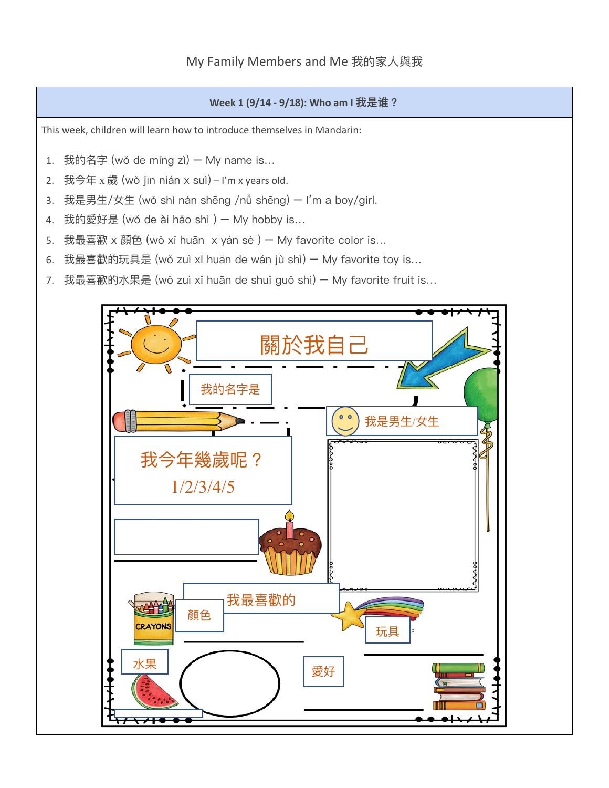## **Week 1 (9/14 - 9/18): Who am I 我是谁?**

This week, children will learn how to introduce themselves in Mandarin:

- 1. 我的名字 (wǒ de míng zì) My name is…
- 2. 我今年  $x \, \text{g}$  (wǒ jīn nián  $x \, \text{su}$ ) I'm x years old.
- 3. 我是男⽣/女⽣ (wǒ shì nán shēng /nǚ shēng) I'm a boy/girl.
- 4. 我的愛好是 (wǒ de ài hǎo shì ) My hobby is…
- 5. 我最喜歡 x 顏色 (wǒ xǐ huān x yán sè ) My favorite color is...
- 6. 我最喜歡的玩具是 (wǒ zuì xǐ huān de wán jù shì) My favorite toy is…
- 7. 我最喜歡的水果是 (wǒ zuì xǐ huān de shuǐ guǒ shì) My favorite fruit is...

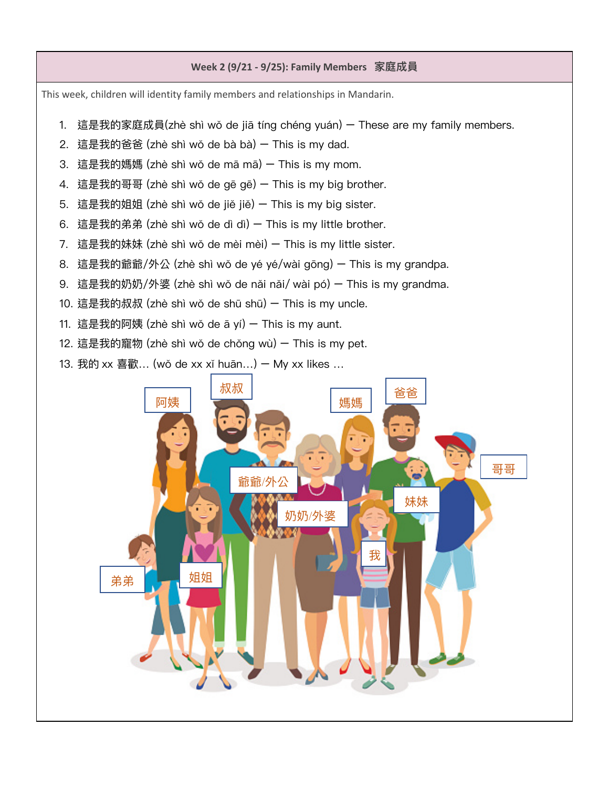## **Week 2 (9/21 - 9/25): Family Members 家庭成員**

This week, children will identity family members and relationships in Mandarin.

- 1. 這是我的家庭成員(zhè shì wǒ de jiā tíng chéng yuán) These are my family members.
- 2. 這是我的爸爸 (zhè shì wǒ de bà bà) This is my dad.
- 3. 這是我的媽媽 (zhè shì wǒ de mā mā) This is my mom.
- 4. 這是我的哥哥 (zhè shì wǒ de gē gē) This is my big brother.
- 5. 這是我的姐姐 (zhè shì wǒ de jiě jiě) This is my big sister.
- 6. 這是我的弟弟 (zhè shì wǒ de dì dì) This is my little brother.
- 7. 這是我的妹妹 (zhè shì wǒ de mèi mèi) This is my little sister.
- 8. 這是我的爺爺/外公 (zhè shì wǒ de yé yé/wài gōng) This is my grandpa.
- 9. 這是我的奶奶/外婆 (zhè shì wǒ de nǎi nǎi/ wài pó) This is my grandma.
- 10. 這是我的叔叔 (zhè shì wǒ de shū shū) This is my uncle.
- 11. 這是我的阿姨 (zhè shì wǒ de ā yí)  $-$  This is my aunt.
- 12. 這是我的寵物 (zhè shì wǒ de chǒng wù) This is my pet.
- 13. 我的 xx 喜歡... (wǒ de xx xǐ huān...)  $-$  My xx likes ...

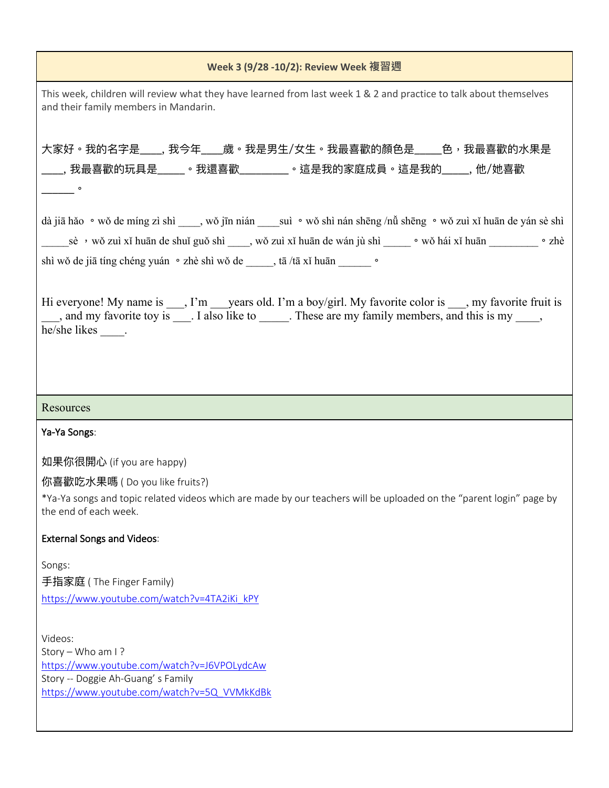| Week 3 (9/28 -10/2): Review Week 複習週                                                                                                                                                                                                                                                                                             |  |  |  |  |
|----------------------------------------------------------------------------------------------------------------------------------------------------------------------------------------------------------------------------------------------------------------------------------------------------------------------------------|--|--|--|--|
| This week, children will review what they have learned from last week 1 & 2 and practice to talk about themselves<br>and their family members in Mandarin.                                                                                                                                                                       |  |  |  |  |
| 大家好。我的名字是____, 我今年____歲。我是男生/女生。我最喜歡的顏色是_____色,我最喜歡的水果是<br>_____, 我最喜歡的玩具是______。我還喜歡___________。這是我的家庭成員。這是我的______, 他/她喜歡<br>$\overline{\phantom{a}}$ $^{\circ}$                                                                                                                                                               |  |  |  |  |
| dà jiā hǎo · wǒ de míng zì shì ____, wǒ jīn nián ____ suì · wǒ shì nán shēng /nǚ shēng · wǒ zuì xǐ huān de yán sè shì<br>______sè ,wǒ zuì xǐ huān de shuǐ guǒ shì _____, wǒ zuì xǐ huān de wán jù shì _______。wǒ hái xǐ huān ____________。zhè<br>shì wǒ de jiā tíng chéng yuán · zhè shì wǒ de ______, tā /tā xǐ huān ________ · |  |  |  |  |
| Hi everyone! My name is ___, I'm ___ years old. I'm a boy/girl. My favorite color is ___, my favorite fruit is<br>and my favorite toy is ____. I also like to ______. These are my family members, and this is my _____,<br>he/she likes _____.                                                                                  |  |  |  |  |
|                                                                                                                                                                                                                                                                                                                                  |  |  |  |  |
| Resources                                                                                                                                                                                                                                                                                                                        |  |  |  |  |
| Ya-Ya Songs:                                                                                                                                                                                                                                                                                                                     |  |  |  |  |
| 如果你很開心 (if you are happy)                                                                                                                                                                                                                                                                                                        |  |  |  |  |
| 你喜歡吃水果嗎 (Do you like fruits?)                                                                                                                                                                                                                                                                                                    |  |  |  |  |
| *Ya-Ya songs and topic related videos which are made by our teachers will be uploaded on the "parent login" page by<br>the end of each week.                                                                                                                                                                                     |  |  |  |  |
| <b>External Songs and Videos:</b>                                                                                                                                                                                                                                                                                                |  |  |  |  |
| Songs:<br>手指家庭 (The Finger Family)<br>https://www.youtube.com/watch?v=4TA2iKi_kPY                                                                                                                                                                                                                                                |  |  |  |  |
| Videos:<br>Story - Who am I?<br>https://www.youtube.com/watch?v=J6VPOLydcAw<br>Story -- Doggie Ah-Guang's Family<br>https://www.youtube.com/watch?v=5Q_VVMkKdBk                                                                                                                                                                  |  |  |  |  |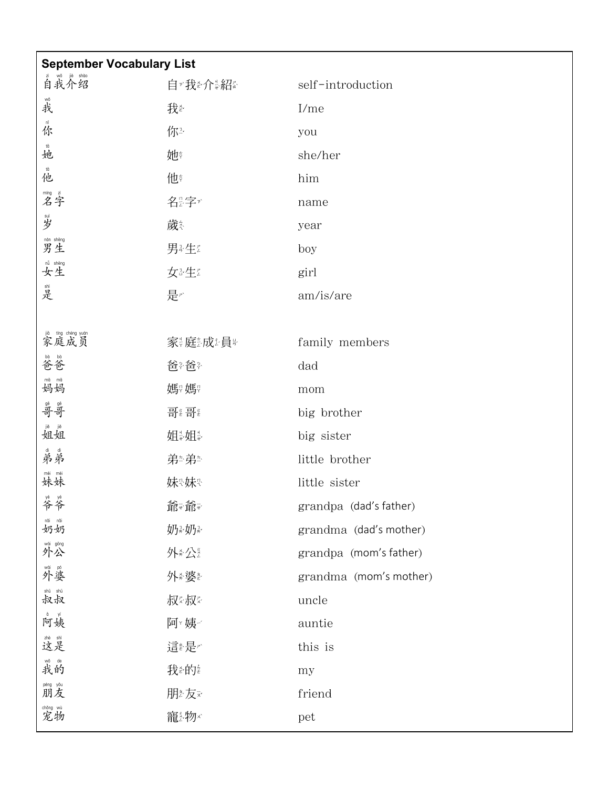| <b>September Vocabulary List</b>                                                                                                   |          |                        |  |  |
|------------------------------------------------------------------------------------------------------------------------------------|----------|------------------------|--|--|
| 首我介绍                                                                                                                               | 自『我を介書紹』 | self-introduction      |  |  |
| 战我                                                                                                                                 | 我        | $I$ /me                |  |  |
| 资                                                                                                                                  | 你?       | you                    |  |  |
| tā<br>她                                                                                                                            | 她        | she/her                |  |  |
| tā<br>他                                                                                                                            | 他        | him                    |  |  |
| 嘴字                                                                                                                                 | 名奖字      | name                   |  |  |
| 剔岁                                                                                                                                 | 歲        | year                   |  |  |
| mán shēng<br>男生                                                                                                                    | 男经生      | boy                    |  |  |
| <sup>nǚ shēng</sup>                                                                                                                | 女法生      | girl                   |  |  |
| 晶是                                                                                                                                 | 是产       | am/is/are              |  |  |
|                                                                                                                                    |          |                        |  |  |
| jiā tíng chéng yuán<br>家庭成员                                                                                                        | 家装庭热发量   | family members         |  |  |
| 營爸                                                                                                                                 | 爸※爸※     | dad                    |  |  |
| 精妈                                                                                                                                 | 媽?媽?     | mom                    |  |  |
| 骨哥                                                                                                                                 | 哥《哥》     | big brother            |  |  |
| <sup>jiě</sup><br>姐姐                                                                                                               | 姐装姐装     | big sister             |  |  |
| ●弟弟                                                                                                                                | 弟参弟参     | little brother         |  |  |
| mèi mèi<br>妹妹                                                                                                                      | 妹%妹      | little sister          |  |  |
| 等爷                                                                                                                                 | 爺☆爺☆     | grandpa (dad's father) |  |  |
| $\stackrel{\scriptscriptstyle\mathsf{in\,\,olimits}}{\mathcal{W}}\stackrel{\scriptscriptstyle\mathsf{in\,\,olimits}}{\mathcal{W}}$ | 奶熟奶      | grandma (dad's mother) |  |  |
| <sup>wài gōng</sup><br>外公                                                                                                          | 外炎       | grandpa (mom's father) |  |  |
| <sup>wài pó</sup><br>外婆                                                                                                            | 外参婆多     | grandma (mom's mother) |  |  |
| <sup>shū shū</sup><br>叔叔                                                                                                           | 叔《叔》     | uncle                  |  |  |
| 向姨                                                                                                                                 | 阿难       | auntie                 |  |  |
| 激是                                                                                                                                 | 這是       | this is                |  |  |
| <sup>wǒ de</sup><br>我的                                                                                                             | 我診的      | my                     |  |  |
| <sup>péng yǒu</sup><br>朋友                                                                                                          | 朋を友え     | friend                 |  |  |
| <sup>chǒng wù</sup><br>宠物                                                                                                          | 寵 物 x    | pet                    |  |  |